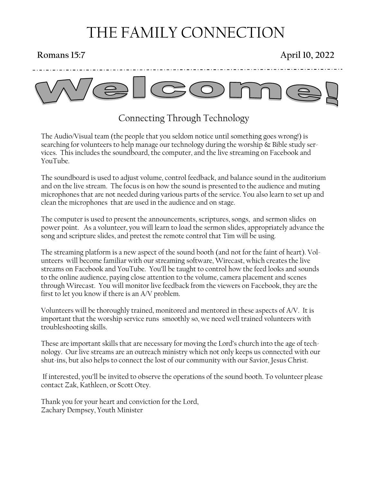# THE FAMILY CONNECTION

### **Romans 15:7 April 10, 2022**



## Connecting Through Technology

The Audio/Visual team (the people that you seldom notice until something goes wrong!) is searching for volunteers to help manage our technology during the worship & Bible study services. This includes the soundboard, the computer, and the live streaming on Facebook and YouTube.

The soundboard is used to adjust volume, control feedback, and balance sound in the auditorium and on the live stream. The focus is on how the sound is presented to the audience and muting microphones that are not needed during various parts of the service. You also learn to set up and clean the microphones that are used in the audience and on stage.

The computer is used to present the announcements, scriptures, songs, and sermon slides on power point. As a volunteer, you will learn to load the sermon slides, appropriately advance the song and scripture slides, and pretest the remote control that Tim will be using.

The streaming platform is a new aspect of the sound booth (and not for the faint of heart). Volunteers will become familiar with our streaming software, Wirecast, which creates the live streams on Facebook and YouTube. You'll be taught to control how the feed looks and sounds to the online audience, paying close attention to the volume, camera placement and scenes through Wirecast. You will monitor live feedback from the viewers on Facebook, they are the first to let you know if there is an A/V problem.

Volunteers will be thoroughly trained, monitored and mentored in these aspects of A/V. It is important that the worship service runs smoothly so, we need well trained volunteers with troubleshooting skills.

These are important skills that are necessary for moving the Lord's church into the age of technology. Our live streams are an outreach ministry which not only keeps us connected with our shut-ins, but also helps to connect the lost of our community with our Savior, Jesus Christ.

If interested, you'll be invited to observe the operations of the sound booth. To volunteer please contact Zak, Kathleen, or Scott Otey.

Thank you for your heart and conviction for the Lord, Zachary Dempsey, Youth Minister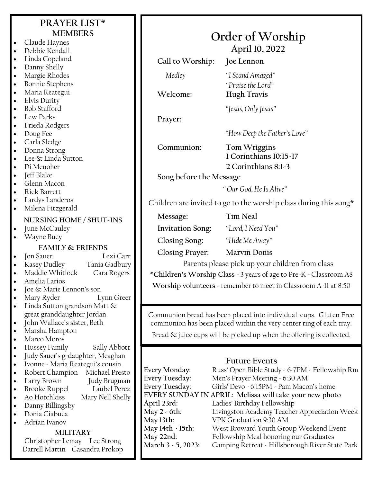### **PRAYER LIST\* MEMBERS**

- Claude Haynes • Debbie Kendall
- Linda Copeland
- Danny Shelly
- Margie Rhodes
- Bonnie Stephens
- Maria Reategui
- Elvis Durity
- Bob Stafford
- Lew Parks
- Frieda Rodgers
- Doug Fee
- Carla Sledge
- Donna Strong
- Lee & Linda Sutton
- Di Menoher
- Jeff Blake
- Glenn Macon
- Rick Barrett
- Lardys Landeros
- Milena Fitzgerald

#### **NURSING HOME / SHUT-INS**

June McCauley

• Wayne Bucy

#### **FAMILY & FRIENDS**

- Jon Sauer Lexi Carr • Kasey Dudley Tania Gadbury
- Maddie Whitlock Cara Rogers
- Amelia Larios
- Joe & Marie Lennon's son
- Mary Ryder Lynn Greer
- Linda Sutton grandson Matt  $\&$ great granddaughter Jordan
- John Wallace's sister, Beth
- Marsha Hampton
- Marco Moros
- Hussey Family Sally Abbott
- Judy Sauer's g-daughter, Meaghan
- Ivonne Maria Reategui's cousin
- Robert Champion Michael Presto
- Larry Brown Judy Brugman
- **Brooke Ruppel**
- Ao Hotchkiss Mary Nell Shelly
- Danny Billingsby
- Donia Ciabuca
- Adrian Ivanov

### **MILITARY**

Christopher Lemay Lee Strong Darrell Martin Casandra Prokop

| OTUCT OF AVOISIIID      |                                                             |  |
|-------------------------|-------------------------------------------------------------|--|
| April 10, 2022          |                                                             |  |
| Call to Worship:        | <b>Joe Lennon</b>                                           |  |
| Medley<br>Welcome:      | "I Stand Amazed"<br>"Praise the Lord"<br><b>Hugh Travis</b> |  |
|                         | "Jesus, Only Jesus"                                         |  |
| Prayer:                 |                                                             |  |
|                         | "How Deep the Father's Love"                                |  |
| Communion:              | Tom Wriggins<br>1 Corinthians 10:15-17                      |  |
|                         | 2 Corinthians 8:1-3                                         |  |
| Song before the Message |                                                             |  |

**Order of Worship**

*" Our God, He Is Alive"*

Children are invited to go to the worship class during this song $*$ 

**Message: Tim Neal**

**Invitation Song:** *"Lord, I Need You"*

**Closing Song:** *"Hide Me Away"*

**Closing Prayer: Marvin Donis**

Parents please pick up your children from class

**\*Children's Worship Class** - 3 years of age to Pre-K - Classroom A8

**Worship volunteers** - remember to meet in Classroom A-11 at 8:50

Communion bread has been placed into individual cups. Gluten Free communion has been placed within the very center ring of each tray.

Bread & juice cups will be picked up when the offering is collected.

### **Future Events**

| <b>Every Monday:</b>                                    | Russ' Open Bible Study - 6-7PM - Fellowship Rm  |  |
|---------------------------------------------------------|-------------------------------------------------|--|
| <b>Every Tuesday:</b>                                   | Men's Prayer Meeting - 6:30 AM                  |  |
| <b>Every Tuesday:</b>                                   | Girls' Devo - 6:15PM - Pam Macon's home         |  |
| EVERY SUNDAY IN APRIL: Melissa will take your new photo |                                                 |  |
| April 23rd:                                             | Ladies' Birthday Fellowship                     |  |
| May 2 - 6th:                                            | Livingston Academy Teacher Appreciation Week    |  |
| May 13th:                                               | VPK Graduation 9:30 AM                          |  |
| May 14th - 15th:                                        | West Broward Youth Group Weekend Event          |  |
| May 22nd:                                               | Fellowship Meal honoring our Graduates          |  |
| March 3 - 5, 2023:                                      | Camping Retreat - Hillsborough River State Park |  |
|                                                         |                                                 |  |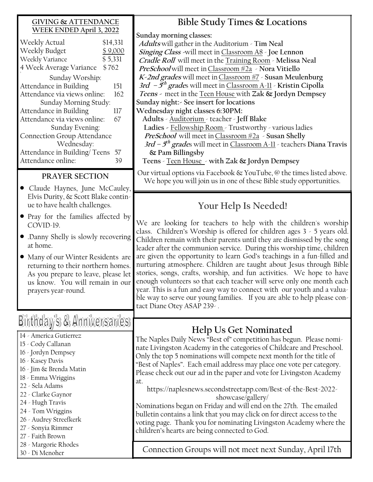#### **GIVING & ATTENDANCE WEEK ENDED April 3, 2022**

| Weekly Actual                      | \$14,331 |  |
|------------------------------------|----------|--|
| Weekly Budget                      | \$9,000  |  |
| Weekly Variance<br>\$5,331         |          |  |
| 4 Week Average Variance<br>\$762   |          |  |
| Sunday Worship:                    |          |  |
| Attendance in Building             | 151      |  |
| Attendance via views online:       | 162      |  |
| Sunday Morning Study:              |          |  |
| Attendance in Building             | 117      |  |
| Attendance via views online:       | 67       |  |
| Sunday Evening:                    |          |  |
| <b>Connection Group Attendance</b> |          |  |
| Wednesday:                         |          |  |
| Attendance in Building/Teens       | 5/       |  |
| Attendance online:                 |          |  |
|                                    |          |  |

#### **PRAYER SECTION**

- Claude Haynes, June McCauley, Elvis Durity, & Scott Blake continue to have health challenges.
- Pray for the families affected by COVID-19.
- .Danny Shelly is slowly recovering at home.
- Many of our Winter Residents are returning to their northern homes. As you prepare to leave, please let us know. You will remain in our prayers year-round.

# Birthday's & Anniversaries

- 14 America Gutierrez
- 15 Cody Callanan
- 16 Jordyn Dempsey
- 16 Kasey Davis
- 16 Jim & Brenda Matin
- 18 Emma Wriggins
- 22 Sela Adams
- 22 Clarke Gaynor
- 24 Hugh Travis
- 24 Tom Wriggins
- 26 Audrey Streefkerk
- 27 Sonyia Rimmer
- 27 Faith Brown
- 28 Margorie Rhodes
- 30 Di Menoher

**Bible Study Times & Locations**

**Sunday morning classes:**

**Adults** will gather in the Auditorium - **Tim Neal Singing Class -**will meet in Classroom A8 - **Joe Lennon Cradle Roll** will meet in the Training Room - **Melissa Neal PreSchool** will meet inClassroom #2a - **Nora Vitiello K-2nd grades** will meet inClassroom #7 - **Susan Meulenburg 3rd – 5 th grade**s will meet in Classroom A-11 - **Kristin Cipolla Teens -** meet in the Teen House with **Zak & Jordyn Dempsey Sunday night:- See insert for locations Wednesday night classes 6:30PM: Adults** - Auditorium - teacher - **Jeff Blake Ladies -** Fellowship Room - Trustworthy - various ladies **PreSchool** will meet inClassroom #2a - **Susan Shelly 3rd – 5 th grade**s will meet in Classroom A-11 - teachers **Diana Travis & Pam Billingsby** 

**Teens** - Teen House - **with Zak & Jordyn Dempsey**

Our virtual options via Facebook & YouTube, @ the times listed above. We hope you will join us in one of these Bible study opportunities.

## **Your Help Is Needed!**

We are looking for teachers to help with the children's worship class. Children's Worship is offered for children ages 3 - 5 years old. Children remain with their parents until they are dismissed by the song leader after the communion service. During this worship time, children are given the opportunity to learn God's teachings in a fun-filled and nurturing atmosphere. Children are taught about Jesus through Bible stories, songs, crafts, worship, and fun activities. We hope to have enough volunteers so that each teacher will serve only one month each year. This is a fun and easy way to connect with our youth and a valuable way to serve our young families. If you are able to help please contact Diane Otey ASAP 239- .

## **Help Us Get Nominated**

The Naples Daily News "Best of" competition has begun. Please nominate Livingston Academy in the categories of Childcare and Preschool. Only the top 5 nominations will compete next month for the title of "Best of Naples". Each email address may place one vote per category. Please check out our ad in the paper and vote for Livingston Academy at.

https://naplesnews.secondstreetapp.com/Best-of-the-Best-2022 showcase/gallery/

Nominations began on Friday and will end on the 27th. The emailed bulletin contains a link that you may click on for direct access to the voting page. Thank you for nominating Livingston Academy where the children's hearts are being connected to God.

Connection Groups will not meet next Sunday, April 17th